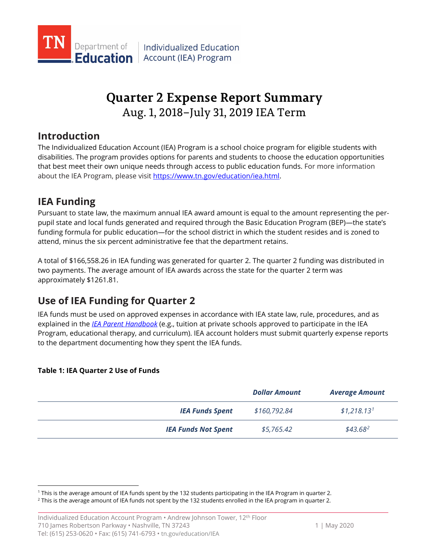

# Aug. 1, 2018–July 31, 2019 IEA Term **Quarter 2 Expense Report Summary**

## **Introduction**

The Individualized Education Account (IEA) Program is a school choice program for eligible students with disabilities. The program provides options for parents and students to choose the education opportunities that best meet their own unique needs through access to public education funds. For more information about the IEA Program, please visi[t https://www.tn.gov/education/iea.html.](https://www.tn.gov/education/iea.html)

## **IEA Funding**

attend, minus the six percent administrative fee that the department retains. Pursuant to state law, the maximum annual IEA award amount is equal to the amount representing the perpupil state and local funds generated and required through the Basic Education Program (BEP)—the state's funding formula for public education—for the school district in which the student resides and is zoned to

 approximately \$1261.81. A total of [\\$166,558.26](https://166,558.26) in IEA funding was generated for quarter 2. The quarter 2 funding was distributed in two payments. The average amount of IEA awards across the state for the quarter 2 term was

## **Use of IEA Funding for Quarter 2**

IEA funds must be used on approved expenses in accordance with IEA state law, rule, procedures, and as explained in the *[IEA Parent Handbook](https://www.tn.gov/education/iea/iea-resources.html)* (e.g., tuition at private schools approved to participate in the IEA Program, educational therapy, and curriculum). IEA account holders must submit quarterly expense reports to the department documenting how they spent the IEA funds.

### **Table 1: IEA Quarter 2 Use of Funds**

-

|                            | <b>Dollar Amount</b> | <b>Average Amount</b>   |
|----------------------------|----------------------|-------------------------|
| <b>IEA Funds Spent</b>     | \$160,792.84         | \$1,218.13 <sup>1</sup> |
| <b>IEA Funds Not Spent</b> | \$5,765.42           | $$43.68^2$              |

<span id="page-0-1"></span><span id="page-0-0"></span><sup>&</sup>lt;sup>1</sup> This is the average amount of IEA funds spent by the 132 students participating in the IEA Program in quarter 2.

<sup>&</sup>lt;sup>1</sup> This is the average amount of IEA funds spent by the 132 students participating in the IEA Program in quarter 2.<br><sup>2</sup> This is the average amount of IEA funds not spent by the 132 students enrolled in the IEA program in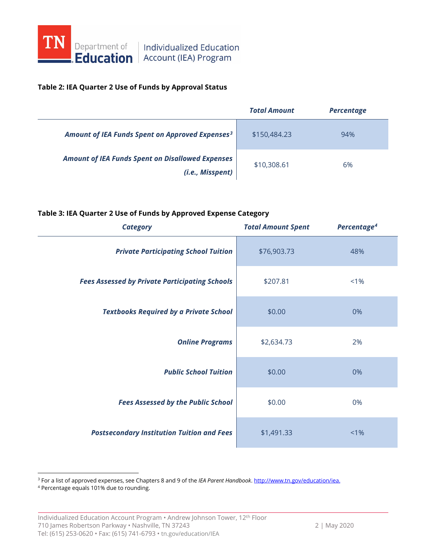

#### **Table 2: IEA Quarter 2 Use of Funds by Approval Status**

|                                                                             | <b>Total Amount</b> | <b>Percentage</b> |
|-----------------------------------------------------------------------------|---------------------|-------------------|
| Amount of IEA Funds Spent on Approved Expenses <sup>3</sup>                 | \$150,484.23        | 94%               |
| <b>Amount of IEA Funds Spent on Disallowed Expenses</b><br>(i.e., Misspent) | \$10,308.61         | 6%                |

#### **Table 3: IEA Quarter 2 Use of Funds by Approved Expense Category**

| <b>Category</b>                                       | <b>Total Amount Spent</b> | Percentage <sup>4</sup> |
|-------------------------------------------------------|---------------------------|-------------------------|
| <b>Private Participating School Tuition</b>           | \$76,903.73               | 48%                     |
| <b>Fees Assessed by Private Participating Schools</b> | \$207.81                  | $< 1\%$                 |
| <b>Textbooks Required by a Private School</b>         | \$0.00                    | 0%                      |
| <b>Online Programs</b>                                | \$2,634.73                | 2%                      |
| <b>Public School Tuition</b>                          | \$0.00                    | 0%                      |
| <b>Fees Assessed by the Public School</b>             | \$0.00                    | 0%                      |
| <b>Postsecondary Institution Tuition and Fees</b>     | \$1,491.33                | $< 1\%$                 |

<span id="page-1-0"></span><sup>3</sup> For a list of approved expenses, see Chapters 8 and 9 of the *IEA Parent Handbook*. <u>http://www.tn.gov/education/iea.</u><br><sup>4</sup> Percentage equals 101% due to rounding.

<span id="page-1-1"></span>

-